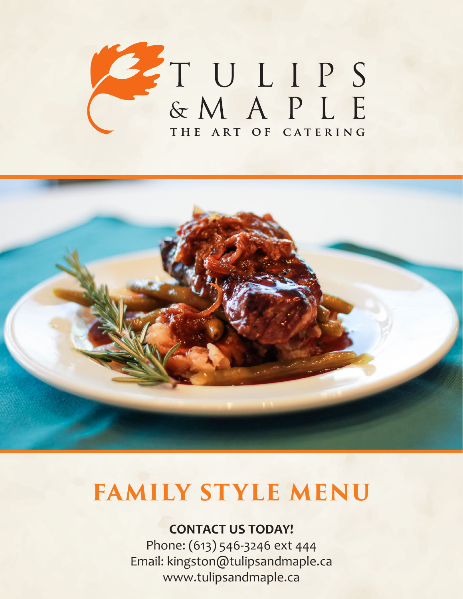



## **CONTACT US TODAY!**

Phone: (613) 546-3246 ext 444 Email: kingston@tulipsandmaple.ca www.tulipsandmaple.ca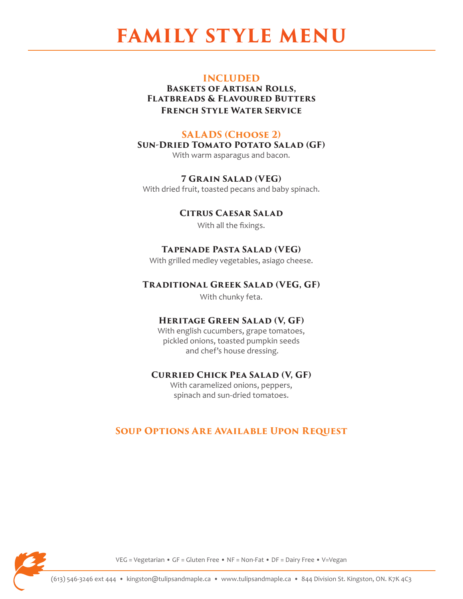#### **INCLUDED**

**Baskets of Artisan Rolls, Flatbreads & Flavoured Butters French Style Water Service**

## **SALADS (Choose 2)**

**Sun-Dried Tomato Potato Salad (GF)**

With warm asparagus and bacon.

#### **7 Grain Salad (VEG)**

With dried fruit, toasted pecans and baby spinach.

## **Citrus Caesar Salad**

With all the fixings.

## **Tapenade Pasta Salad (VEG)**

With grilled medley vegetables, asiago cheese.

### **Traditional Greek Salad (VEG, GF)**

With chunky feta.

## **Heritage Green Salad (V, GF)**

With english cucumbers, grape tomatoes, pickled onions, toasted pumpkin seeds and chef's house dressing.

### **Curried Chick Pea Salad (V, GF)**

With caramelized onions, peppers, spinach and sun-dried tomatoes.

## **Soup Options Are Available Upon Request**

VEG = Vegetarian • GF = Gluten Free • NF = Non-Fat • DF = Dairy Free • V=Vegan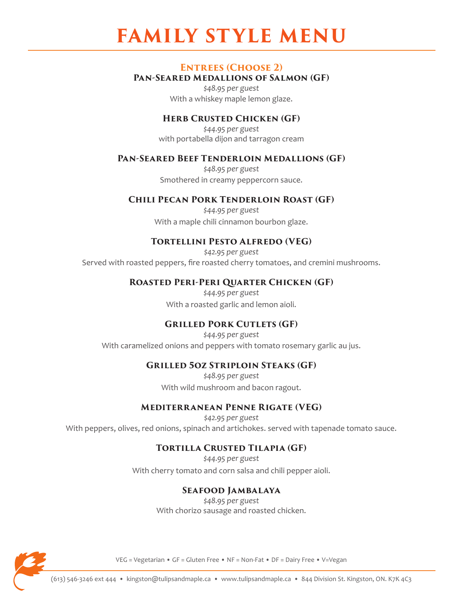#### **ENTREES (CHOOSE 2)**

#### **Pan-Seared Medallions of Salmon (GF)**

*\$48.95 per guest* With a whiskey maple lemon glaze.

#### **HERB CRUSTED CHICKEN (GF)**

*\$44.95 per guest* with portabella dijon and tarragon cream

#### **Pan-Seared Beef Tenderloin Medallions (GF)**

*\$48.95 per guest* Smothered in creamy peppercorn sauce.

#### **Chili Pecan Pork Tenderloin Roast (GF)**

*\$44.95 per guest* With a maple chili cinnamon bourbon glaze.

#### **Tortellini Pesto Alfredo (VEG)**

*\$42.95 per guest* Served with roasted peppers, fire roasted cherry tomatoes, and cremini mushrooms.

#### **Roasted Peri-Peri Quarter Chicken (GF)**

*\$44.95 per guest* With a roasted garlic and lemon aioli.

#### **GRILLED PORK CUTLETS (GF)**

*\$44.95 per guest* With caramelized onions and peppers with tomato rosemary garlic au jus.

#### **Grilled 5oz Striploin Steaks (GF)**

*\$48.95 per guest* With wild mushroom and bacon ragout.

#### **Mediterranean Penne Rigate (VEG)**

*\$42.95 per guest* With peppers, olives, red onions, spinach and artichokes. served with tapenade tomato sauce.

#### **Tortilla Crusted Tilapia (GF)**

*\$44.95 per guest* With cherry tomato and corn salsa and chili pepper aioli.

#### **Seafood Jambalaya**

*\$48.95 per guest* With chorizo sausage and roasted chicken.



VEG = Vegetarian • GF = Gluten Free • NF = Non-Fat • DF = Dairy Free • V=Vegan